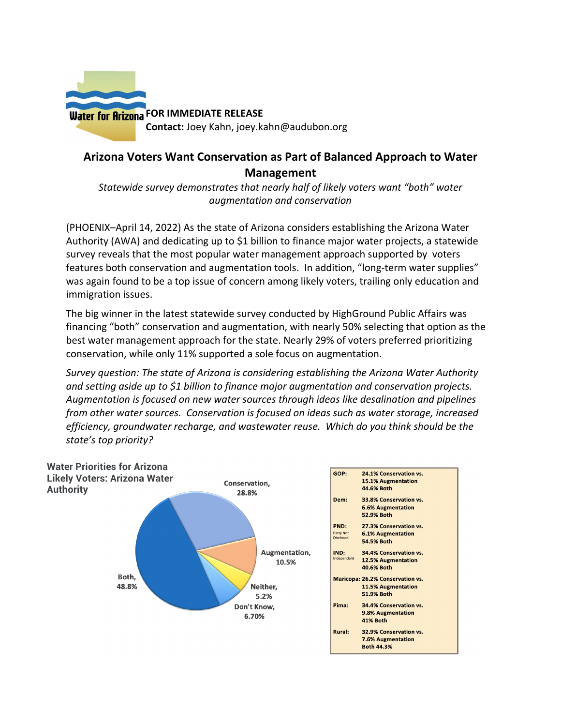

## **Arizona Voters Want Conservation as Part of Balanced Approach to Water Management**

*Statewide survey demonstrates that nearly half of likely voters want "both" water augmentation and conservation* 

(PHOENIX–April 14, 2022) As the state of Arizona considers establishing the Arizona Water Authority (AWA) and dedicating up to \$1 billion to finance major water projects, a statewide survey reveals that the most popular water management approach supported by voters features both conservation and augmentation tools. In addition, "long-term water supplies" was again found to be a top issue of concern among likely voters, trailing only education and immigration issues.

The big winner in the latest statewide survey conducted by HighGround Public Affairs was financing "both" conservation and augmentation, with nearly 50% selecting that option as the best water management approach for the state. Nearly 29% of voters preferred prioritizing conservation, while only 11% supported a sole focus on augmentation.

*Survey question: The state of Arizona is considering establishing the Arizona Water Authority and setting aside up to \$1 billion to finance major augmentation and conservation projects. Augmentation is focused on new water sources through ideas like desalination and pipelines from other water sources. Conservation is focused on ideas such as water storage, increased efficiency, groundwater recharge, and wastewater reuse. Which do you think should be the state's top priority?* 

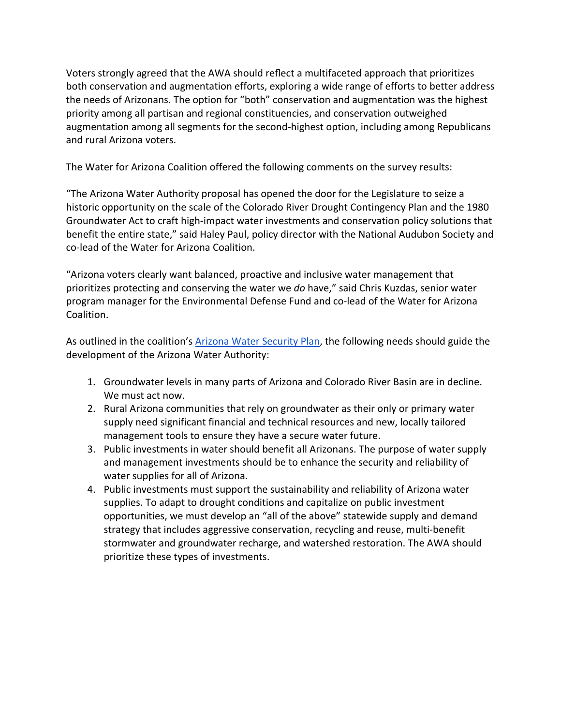Voters strongly agreed that the AWA should reflect a multifaceted approach that prioritizes both conservation and augmentation efforts, exploring a wide range of efforts to better address the needs of Arizonans. The option for "both" conservation and augmentation was the highest priority among all partisan and regional constituencies, and conservation outweighed augmentation among all segments for the second-highest option, including among Republicans and rural Arizona voters.

The Water for Arizona Coalition offered the following comments on the survey results:

"The Arizona Water Authority proposal has opened the door for the Legislature to seize a historic opportunity on the scale of the Colorado River Drought Contingency Plan and the 1980 Groundwater Act to craft high-impact water investments and conservation policy solutions that benefit the entire state," said Haley Paul, policy director with the National Audubon Society and co-lead of the Water for Arizona Coalition.

"Arizona voters clearly want balanced, proactive and inclusive water management that prioritizes protecting and conserving the water we *do* have," said Chris Kuzdas, senior water program manager for the Environmental Defense Fund and co-lead of the Water for Arizona Coalition.

As outlined in the coalition's **Arizona Water Security Plan**, the following needs should guide the development of the Arizona Water Authority:

- 1. Groundwater levels in many parts of Arizona and Colorado River Basin are in decline. We must act now.
- 2. Rural Arizona communities that rely on groundwater as their only or primary water supply need significant financial and technical resources and new, locally tailored management tools to ensure they have a secure water future.
- 3. Public investments in water should benefit all Arizonans. The purpose of water supply and management investments should be to enhance the security and reliability of water supplies for all of Arizona.
- 4. Public investments must support the sustainability and reliability of Arizona water supplies. To adapt to drought conditions and capitalize on public investment opportunities, we must develop an "all of the above" statewide supply and demand strategy that includes aggressive conservation, recycling and reuse, multi-benefit stormwater and groundwater recharge, and watershed restoration. The AWA should prioritize these types of investments.